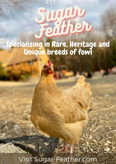EST. 2018

## **TABLE OF CONTENTS [Feed and Supplements](#page-1-0)** ..................................................................................... [2](#page-1-0)

# Specializing in Rare, Heritage and<br>Unique breeds of fowl

Visit Sugar-Feather.com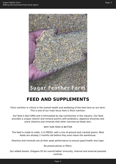<span id="page-1-0"></span>

### **FEED AND SUPPLEMENTS**

Flock nutrition is critical in the overall health and wellbeing of the fowl here on our farm. This is one of our main focus here is flock nutrition.

Our feed is Non-GMO and is formulated by top nutritionists in the industry. Our feed provides a unique vitamin and mineral premix with probiotics, digestive enzymes and extra vitamins and minerals that other commercial feeds lack.

#### WHY OUR FEED IS BETTER

The feed is made to order, it is FRESH, with a mix of ground and cracked grains. Most feeds are already 2 months old before they even leave the warehouse.

Vitamins and minerals are at their peak performance to ensure good health and vigor.

No preservatives or fillers.

Our added boosts: Oregano Oil for overall better immunity, internal and external parasite controls.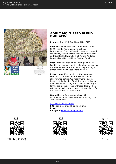<span id="page-2-0"></span>

#### **ADULT MOLT FEED BLEND NON-GMO**

**Product**: Adult Molt Feed Blend Non-GMO

**Features**: No Preservatives or Additives, Non-GMO, Freshly Made, Vitamins at Peak Performance, Custom Made for Seasons, Pre and Pro-Biotics, Oregano Oil to help with Coccidiosis and Gut Health Naturally, High Amino Acids for Egg Quality – Hatchability – Feather Quality.

**Use:** To feed your adult fowl from point of lay. Feed in the summer months when hot, as soon as the weather temps are under 70 day and night switch to the Adult Feed Blend Non-GMO

**Instructions**: Keep feed in airtight container. Free feed your birds. Waterfowl need water always when eating. We recommend keeping feeders at the height of their backs, so adjusting them will be necessary. Birds tend to always go for the big pieces of feed or treats. This will help with waste. Make sure to have grit free choice for the birds and fresh clean water.

**Quantities**: at farm can purchase 5lb increments, 50 lb increments. For shipping 10lb, 20lb increments.

#### [Click Here To Read More](https://www.sugar-feather.com/product/adult-molt-feed-blend-non-gmo/??utm_source=file&utm_medium=PDF&utm_campaign=feed&utm_term=Adult+Molt+Feed+Blend+Non-GMO)

**SKU:** adult-molt-feed-blend-non-gmo **Price: Category:** [Feed and Supplements](https://www.sugar-feather.com/product-category/feed/)





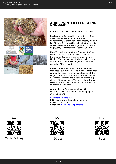<span id="page-3-0"></span>

#### **ADULT WINTER FEED BLEND NON-GMO**

**Product**: Adult Winter Feed Blend Non-GMO

**Features**: No Preservatives or Additives, Non-GMO, Freshly Made, Vitamins at Peak Performance, Custom Made for Seasons, Pre and Pro-Biotics, Oregano Oil to help with Coccidiosis and Gut Health Naturally, High Amino Acids for Egg Quality – Hatchability – Feather Quality.

**Use:** To feed your adult fowl from point of lay. Feed in the Winter months when cold, as soon as the weather temps are low, or after Fall and Molting. You can use and daylight savings as a start or if in a colder climate, start when temps dip below 40's at night.

**Instructions**: Keep feed in airtight container. Free feed your birds. Waterfowl need water when eating. We recommend keeping feeders at the height of their backs, so adjusting them will be necessary. Birds tend to always go for the big pieces of feed or treats. This will help with waste. Make sure to have grit free choice for the birds and fresh clean water.

**Quantities**: at farm can purchase 5lb increments, 50lb increments. For shipping 10lb, 20lb increments.

[Click Here To Read More](https://www.sugar-feather.com/product/adult-winter-feed-blend-non-gmo/??utm_source=file&utm_medium=PDF&utm_campaign=feed&utm_term=Adult+Winter+Feed+Blend+Non-GMO)

**SKU:** adult-winter-feed-blend-non-gmo **Price:** From: \$2.70 **Category:** [Feed and Supplements](https://www.sugar-feather.com/product-category/feed/)





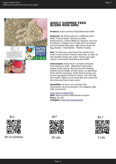<span id="page-4-0"></span>

#### **ADULT SUMMER FEED BLEND NON-GMO**

**Product**: Adult Summer Feed Blend Non-GMO

**Features**: No Preservatives or Additives, Non-GMO, Freshly Made, Vitamins at Peak Performance, Custom Made for Seasons, Pre and Pro-Biotics, Oregano Oil to help with Coccidiosis and Gut Health Naturally, High Amino Acids for Egg Quality - Hatchability - Feather Quality.

**Use:** To feed your adult fowl from point of lay. Feed in the summer months when hot, as soon as the weather temps are under 70 day and night switch to the Adult Feed Blend Non-GMO

**Instructions**: Keep feed in airtight container. Free feed your birds. Waterfowl need water always when eating. We recommend keeping feeders at the height of their backs, so adjusting them will be necessary. Birds tend to always go for the big pieces of feed or treats. This will help with waste. Make sure to have grit free choice for the birds and fresh clean water.

**Quantities**: at farm can purchase 5lb increments, 50 lb increments. For shipping 10lb, 20lb increments.

#### [Click Here To Read More](https://www.sugar-feather.com/product/adult-summer-feed-blend-non-gmo/??utm_source=file&utm_medium=PDF&utm_campaign=feed&utm_term=Adult+Summer+Feed+Blend+Non-GMO)

**SKU:** adult-summer-feed-blend-non-gmo **Price:** \$11.00 **Category:** [Feed and Supplements](https://www.sugar-feather.com/product-category/feed/)





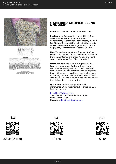

<span id="page-5-0"></span>

| <b>THE REAL PROPERTY AND RESIDENCE AND INTERNATIONAL CONTRACTOR</b> |      |
|---------------------------------------------------------------------|------|
|                                                                     |      |
|                                                                     |      |
|                                                                     |      |
|                                                                     |      |
|                                                                     |      |
|                                                                     | 0.4% |
|                                                                     |      |
|                                                                     |      |
|                                                                     |      |

 ${\bf Feeding\,Instructor}$  Superfeather Gamebird Grower 24% is recommend for<br>ding to Turkeys up to 0-16 weeks of age. On not p

#### **GAMEBIRD GROWER BLEND NON-GMO**

**Product**: Gamebird Grower Blend Non-GMO

**Features**: No Preservatives or Additives, Non-GMO, Freshly Made, Vitamins at Peak Performance, Custom Made for Seasons, Pre and Pro-Biotics, Oregano Oil to help with Coccidiosis and Gut Health Naturally, High Amino Acids for Egg Quality – Hatchability – Feather Quality.

**Use:** To feed your adult fowl from point of lay. Feed in the summer months when hot, as soon as the weather temps are under 70 day and night switch to the Adult Feed Blend Non-GMO

**Instructions**: Keep feed in airtight container. Free feed your birds. Waterfowl need water always when eating. We recommend keeping feeders at the height of their backs, so adjusting them will be necessary. Birds tend to always go for the big pieces of feed or treats. This will help with waste. Make sure to have grit free choice for the birds and fresh clean water.

**Quantities**: at farm can purchase 5lb increments, 50 lb increments. For shipping 10lb, 20lb increments.

#### [Click Here To Read More](https://www.sugar-feather.com/product/gamebird-grower-blend-non-gmo/??utm_source=file&utm_medium=PDF&utm_campaign=feed&utm_term=Gamebird+Grower+Blend+Non-GMO)

**SKU:** gamebird-grower-blend-non-gmo **Price:** From: \$3.50 **Category:** [Feed and Supplements](https://www.sugar-feather.com/product-category/feed/)





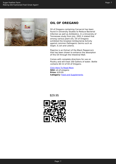<span id="page-6-0"></span>

#### **OIL OF OREGANO**

Oil of Oregano containing Carvacrol has been found in University Studies to Reduce Bacterial Infection as well as Antibiotics. In a University of Tennessee study from July, 2001 it stated that among various plant oils, Oil of Oregano exhibited the Greatest Antibacterial Activity against common Pathogenic Germs such as Staph, E.coli and Listeria.

Piperine is an Extract of the Black Peppercorn that has been shown to enhance the absorption of this Oil through the Intestinal Wall.

Comes with complete directions for use on Poultry and will treat 100 Gallons of water. Bottle contains 60 ml of Oil of Oregano.

#### [Click Here To Read More](https://www.sugar-feather.com/product/oil-of-oregano/??utm_source=file&utm_medium=PDF&utm_campaign=feed&utm_term=Oil+of+Oregano)

**SKU:** oil-of-oregano **Price:** \$29.95 **Category:** [Feed and Supplements](https://www.sugar-feather.com/product-category/feed/)

\$29.95

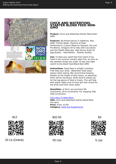<span id="page-7-0"></span>

#### **CHICK AND WATERFOWL STARTER BLEND FEED NON-GMO**

**Product**: Chick and Waterfowl Starter Blend Non-GMO

**Features**: No Preservatives or Additives, Non-GMO, Freshly Made, Vitamins at Peak Performance, Custom Made for Seasons, Pre and Pro-Biotics, Oregano Oil to help with Coccidiosis and Gut Health Naturally, High Amino Acids for Egg Quality – Hatchability – Feather Quality.

**Use:** To feed your adult fowl from point of lay. Feed in the summer months when hot, as soon as the weather temps are under 70 day and night switch to the Adult Feed Blend Non-GMO

**Instructions**: Keep feed in airtight container. Free feed your birds. Waterfowl need water always when eating. We recommend keeping feeders at the height of their backs, so adjusting them will be necessary. Birds tend to always go for the big pieces of feed or treats. This will help with waste. Make sure to have grit free choice for the birds and fresh clean water.

**Quantities**: at farm can purchase 5lb increments, 50 lb increments. For shipping 10lb, 20lb increments.

#### [Click Here To Read More](https://www.sugar-feather.com/product/chick-and-waterfowl-starter-blend-feed-non-gmo/??utm_source=file&utm_medium=PDF&utm_campaign=feed&utm_term=Chick+and+Waterfowl+Starter+Blend+Feed+Non-GMO)

**SKU:** chick-and-waterfowl-starter-blend-feednon-gmo **Price:** From: \$3.00 **Category:** [Feed and Supplements](https://www.sugar-feather.com/product-category/feed/)





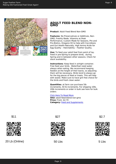<span id="page-8-0"></span>

#### **ADULT FEED BLEND NON-GMO**

**Product**: Adult Feed Blend Non-GMO

**Features**: No Preservatives or Additives, Non-GMO, Freshly Made, Vitamins at Peak Performance, Custom Made for Seasons, Pre and Pro-Biotics, Oregano Oil to help with Coccidiosis and Gut Health Naturally, High Amino Acids for Egg Quality – Hatchability – Feather Quality.

**Use:** To feed your adult fowl from point of lay. Feed in pre-Spring to prepare birds, during Spring and in between other seasons. Check for stock availability.

**Instructions**: Keep feed in airtight container. Free feed your birds. Waterfowl need water always when eating. We recommend keeping feeders at the height of their backs, so adjusting them will be necessary. Birds tend to always go for the big pieces of feed or treats. This will help with waste. Make sure to have grit free choice for the birds and fresh clean water.

**Quantities**: at farm can purchase 5lb increments, 50 lb increments. For shipping 10lb, 20lb increments or order in bulk see here for bulk orders

#### [Click Here To Read More](https://www.sugar-feather.com/product/adult-feed-blend-non-gmo/??utm_source=file&utm_medium=PDF&utm_campaign=feed&utm_term=Adult+Feed+Blend+Non-GMO)

**SKU:** adult-feed-blend-non-gmo **Price:** From: \$2.70 **Category: [Feed and Supplements](https://www.sugar-feather.com/product-category/feed/)** 





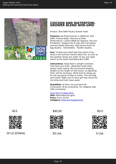

<span id="page-9-0"></span>

#### **CHICKEN AND WATERFOWL GROWER BLEND NON-GMO**

Product: Non-GMO Poultry Grower Feed

**Features**: No Preservatives or Additives, Non-GMO, Freshly Made, Vitamins at Peak Performance, Custom Made for Seasons, Pre and Pro-Biotics, Oregano Oil to help with Coccidiosis and Gut Health Naturally, High Amino Acids for Egg Quality – Hatchability – Feather Quality.

**Use:** To feed your adult fowl from point of lay. Feed in the summer months when hot, as soon as the weather temps are under 70 day and night switch to the Adult Feed Blend Non-GMO

**Instructions**: Keep feed in airtight container. Free feed your birds. Waterfowl need water always when eating. We recommend keeping feeders at the height of their backs, so adjusting them will be necessary. Birds tend to always go for the big pieces of feed or treats. This will help with waste. Make sure to have grit free choice for the birds and fresh clean water.

**Quantities**: at farm can purchase 5lb increments, 50 lb increments. For shipping 10lb, 20lb increments.

#### [Click Here To Read More](https://www.sugar-feather.com/product/adult-feed-non-gmo/??utm_source=file&utm_medium=PDF&utm_campaign=feed&utm_term=Chicken+and+Waterfowl+Grower+Blend+Non-GMO)

**SKU:** adult-feed-non-gmo **Price:** From: \$3.50 **Category:** [Feed and Supplements](https://www.sugar-feather.com/product-category/feed/)





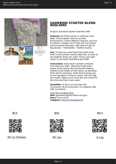

<span id="page-10-0"></span>

#### **GAMEBIRD STARTER BLEND NON-GMO**

Product: Gamebird Starter Feed Non-GMO

**Features**: No Preservatives or Additives, Non-GMO, Freshly Made, Vitamins at Peak Performance, Custom Made for Seasons, Pre and Pro-Biotics, Oregano Oil to help with Coccidiosis and Gut Health Naturally, High Amino Acids for Egg Quality – Hatchability – Feather Quality.

**Use:** To feed your adult fowl from point of lay. Feed in the summer months when hot, as soon as the weather temps are under 70 day and night switch to the Adult Feed Blend Non-GMO

**Instructions**: Keep feed in airtight container. Free feed your birds. Waterfowl need water always when eating. We recommend keeping feeders at the height of their backs, so adjusting them will be necessary. Birds tend to always go for the big pieces of feed or treats. This will help with waste. Make sure to have grit free choice for the birds and fresh clean water.

**Quantities**: at farm can purchase 5lb increments, 50 lb increments. For shipping 10lb, 20lb increments.

#### [Click Here To Read More](https://www.sugar-feather.com/product/gamebird-starter-blend-non-gmo/??utm_source=file&utm_medium=PDF&utm_campaign=feed&utm_term=Gamebird+Starter+Blend+Non-GMO)

**SKU:** gamebird-starter-blend-non-gmo **Price:** From: \$3.50 **Category:** [Feed and Supplements](https://www.sugar-feather.com/product-category/feed/)